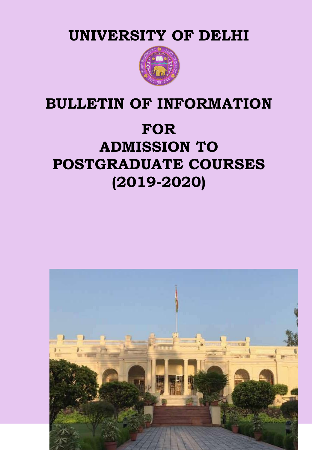**UNIVERSITY OF DELHI**



## **BULLETIN OF INFORMATION**

# **FOR ADMISSION TO POSTGRADUATE COURSES (2019-2020)**